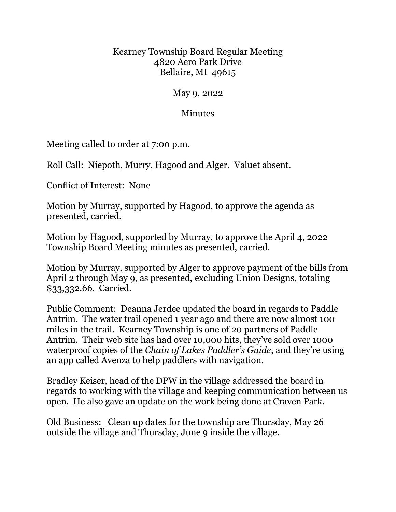## Kearney Township Board Regular Meeting 4820 Aero Park Drive Bellaire, MI 49615

May 9, 2022

## Minutes

Meeting called to order at 7:00 p.m.

Roll Call: Niepoth, Murry, Hagood and Alger. Valuet absent.

Conflict of Interest: None

Motion by Murray, supported by Hagood, to approve the agenda as presented, carried.

Motion by Hagood, supported by Murray, to approve the April 4, 2022 Township Board Meeting minutes as presented, carried.

Motion by Murray, supported by Alger to approve payment of the bills from April 2 through May 9, as presented, excluding Union Designs, totaling \$33,332.66. Carried.

Public Comment: Deanna Jerdee updated the board in regards to Paddle Antrim. The water trail opened 1 year ago and there are now almost 100 miles in the trail. Kearney Township is one of 20 partners of Paddle Antrim. Their web site has had over 10,000 hits, they've sold over 1000 waterproof copies of the *Chain of Lakes Paddler's Guide*, and they're using an app called Avenza to help paddlers with navigation.

Bradley Keiser, head of the DPW in the village addressed the board in regards to working with the village and keeping communication between us open. He also gave an update on the work being done at Craven Park.

Old Business: Clean up dates for the township are Thursday, May 26 outside the village and Thursday, June 9 inside the village.